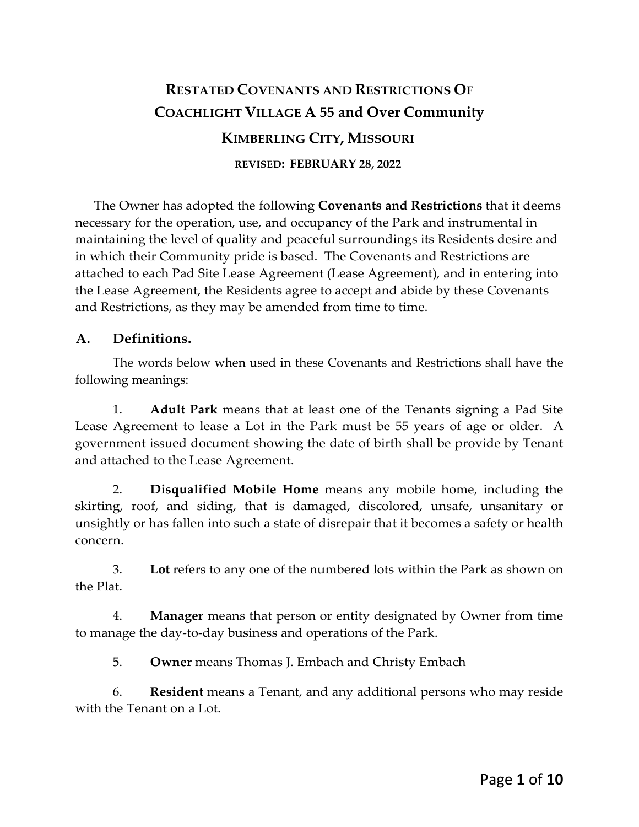# **RESTATED COVENANTS AND RESTRICTIONS OF COACHLIGHT VILLAGE A 55 and Over Community KIMBERLING CITY, MISSOURI REVISED: FEBRUARY 28, 2022**

The Owner has adopted the following **Covenants and Restrictions** that it deems necessary for the operation, use, and occupancy of the Park and instrumental in maintaining the level of quality and peaceful surroundings its Residents desire and in which their Community pride is based. The Covenants and Restrictions are attached to each Pad Site Lease Agreement (Lease Agreement), and in entering into the Lease Agreement, the Residents agree to accept and abide by these Covenants and Restrictions, as they may be amended from time to time.

#### **A. Definitions.**

The words below when used in these Covenants and Restrictions shall have the following meanings:

1. **Adult Park** means that at least one of the Tenants signing a Pad Site Lease Agreement to lease a Lot in the Park must be 55 years of age or older. A government issued document showing the date of birth shall be provide by Tenant and attached to the Lease Agreement.

2. **Disqualified Mobile Home** means any mobile home, including the skirting, roof, and siding, that is damaged, discolored, unsafe, unsanitary or unsightly or has fallen into such a state of disrepair that it becomes a safety or health concern.

3. **Lot** refers to any one of the numbered lots within the Park as shown on the Plat.

4. **Manager** means that person or entity designated by Owner from time to manage the day-to-day business and operations of the Park.

5. **Owner** means Thomas J. Embach and Christy Embach

6. **Resident** means a Tenant, and any additional persons who may reside with the Tenant on a Lot.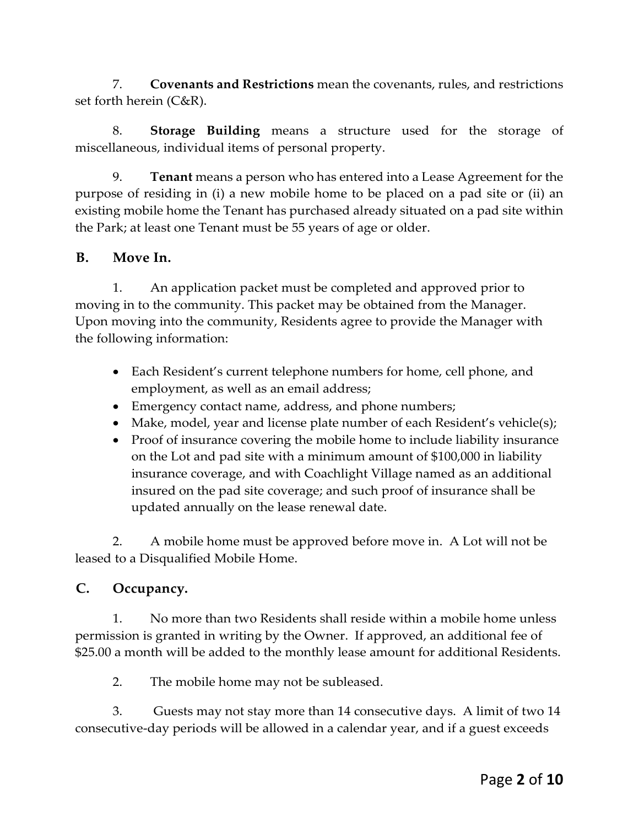7. **Covenants and Restrictions** mean the covenants, rules, and restrictions set forth herein (C&R).

8. **Storage Building** means a structure used for the storage of miscellaneous, individual items of personal property.

9. **Tenant** means a person who has entered into a Lease Agreement for the purpose of residing in (i) a new mobile home to be placed on a pad site or (ii) an existing mobile home the Tenant has purchased already situated on a pad site within the Park; at least one Tenant must be 55 years of age or older.

#### **B. Move In.**

1. An application packet must be completed and approved prior to moving in to the community. This packet may be obtained from the Manager. Upon moving into the community, Residents agree to provide the Manager with the following information:

- Each Resident's current telephone numbers for home, cell phone, and employment, as well as an email address;
- Emergency contact name, address, and phone numbers;
- Make, model, year and license plate number of each Resident's vehicle(s);
- Proof of insurance covering the mobile home to include liability insurance on the Lot and pad site with a minimum amount of \$100,000 in liability insurance coverage, and with Coachlight Village named as an additional insured on the pad site coverage; and such proof of insurance shall be updated annually on the lease renewal date.

2. A mobile home must be approved before move in. A Lot will not be leased to a Disqualified Mobile Home.

#### **C. Occupancy.**

1. No more than two Residents shall reside within a mobile home unless permission is granted in writing by the Owner. If approved, an additional fee of \$25.00 a month will be added to the monthly lease amount for additional Residents.

2. The mobile home may not be subleased.

3. Guests may not stay more than 14 consecutive days. A limit of two 14 consecutive-day periods will be allowed in a calendar year, and if a guest exceeds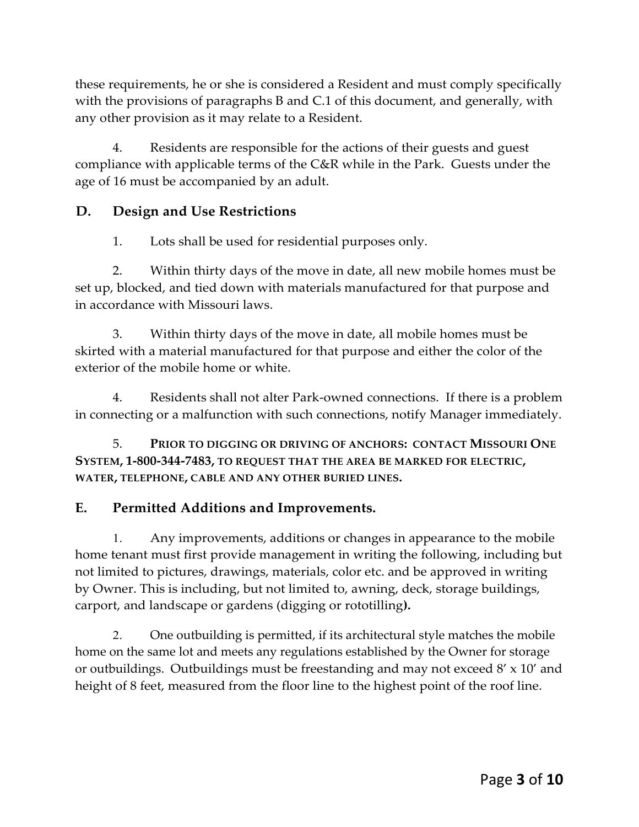these requirements, he or she is considered a Resident and must comply specifically with the provisions of paragraphs B and C.1 of this document, and generally, with any other provision as it may relate to a Resident.

4. Residents are responsible for the actions of their guests and guest compliance with applicable terms of the C&R while in the Park. Guests under the age of 16 must be accompanied by an adult.

# **D. Design and Use Restrictions**

1. Lots shall be used for residential purposes only.

2. Within thirty days of the move in date, all new mobile homes must be set up, blocked, and tied down with materials manufactured for that purpose and in accordance with Missouri laws.

3. Within thirty days of the move in date, all mobile homes must be skirted with a material manufactured for that purpose and either the color of the exterior of the mobile home or white.

4. Residents shall not alter Park-owned connections. If there is a problem in connecting or a malfunction with such connections, notify Manager immediately.

5. **PRIOR TO DIGGING OR DRIVING OF ANCHORS: CONTACT MISSOURI ONE SYSTEM, 1-800-344-7483, TO REQUEST THAT THE AREA BE MARKED FOR ELECTRIC, WATER, TELEPHONE, CABLE AND ANY OTHER BURIED LINES.**

# **E. Permitted Additions and Improvements.**

1. Any improvements, additions or changes in appearance to the mobile home tenant must first provide management in writing the following, including but not limited to pictures, drawings, materials, color etc. and be approved in writing by Owner. This is including, but not limited to, awning, deck, storage buildings, carport, and landscape or gardens (digging or rototilling**).** 

2. One outbuilding is permitted, if its architectural style matches the mobile home on the same lot and meets any regulations established by the Owner for storage or outbuildings. Outbuildings must be freestanding and may not exceed 8' x 10' and height of 8 feet, measured from the floor line to the highest point of the roof line.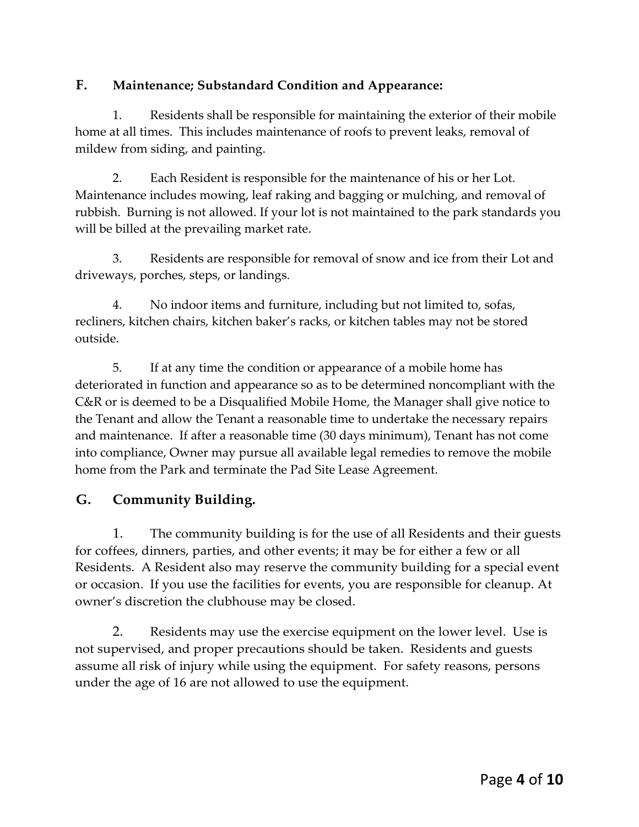### **F. Maintenance; Substandard Condition and Appearance:**

1. Residents shall be responsible for maintaining the exterior of their mobile home at all times. This includes maintenance of roofs to prevent leaks, removal of mildew from siding, and painting.

2. Each Resident is responsible for the maintenance of his or her Lot. Maintenance includes mowing, leaf raking and bagging or mulching, and removal of rubbish. Burning is not allowed. If your lot is not maintained to the park standards you will be billed at the prevailing market rate.

3. Residents are responsible for removal of snow and ice from their Lot and driveways, porches, steps, or landings.

4. No indoor items and furniture, including but not limited to, sofas, recliners, kitchen chairs, kitchen baker's racks, or kitchen tables may not be stored outside.

5. If at any time the condition or appearance of a mobile home has deteriorated in function and appearance so as to be determined noncompliant with the C&R or is deemed to be a Disqualified Mobile Home, the Manager shall give notice to the Tenant and allow the Tenant a reasonable time to undertake the necessary repairs and maintenance. If after a reasonable time (30 days minimum), Tenant has not come into compliance, Owner may pursue all available legal remedies to remove the mobile home from the Park and terminate the Pad Site Lease Agreement.

# **G. Community Building.**

1. The community building is for the use of all Residents and their guests for coffees, dinners, parties, and other events; it may be for either a few or all Residents. A Resident also may reserve the community building for a special event or occasion. If you use the facilities for events, you are responsible for cleanup. At owner's discretion the clubhouse may be closed.

2. Residents may use the exercise equipment on the lower level. Use is not supervised, and proper precautions should be taken. Residents and guests assume all risk of injury while using the equipment. For safety reasons, persons under the age of 16 are not allowed to use the equipment.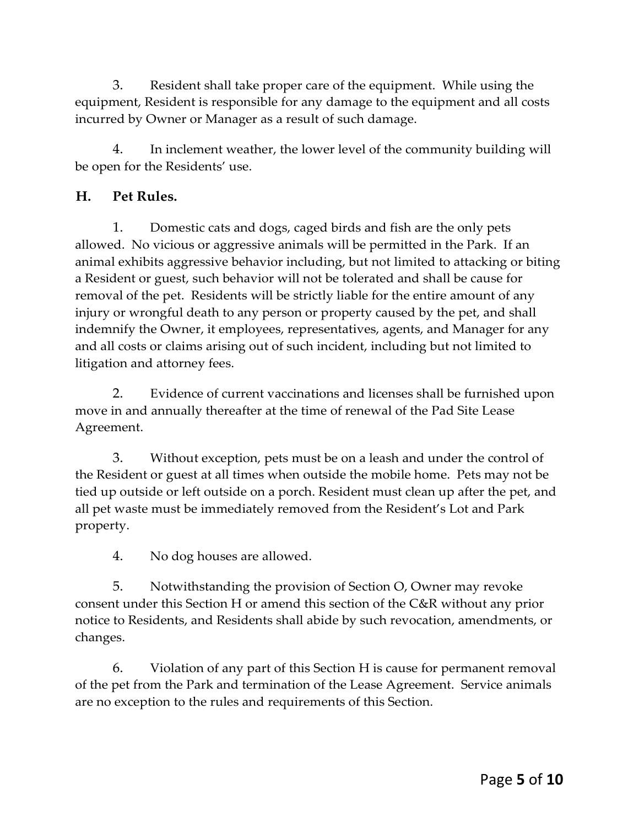3. Resident shall take proper care of the equipment. While using the equipment, Resident is responsible for any damage to the equipment and all costs incurred by Owner or Manager as a result of such damage.

4. In inclement weather, the lower level of the community building will be open for the Residents' use.

## **H. Pet Rules.**

1. Domestic cats and dogs, caged birds and fish are the only pets allowed. No vicious or aggressive animals will be permitted in the Park. If an animal exhibits aggressive behavior including, but not limited to attacking or biting a Resident or guest, such behavior will not be tolerated and shall be cause for removal of the pet. Residents will be strictly liable for the entire amount of any injury or wrongful death to any person or property caused by the pet, and shall indemnify the Owner, it employees, representatives, agents, and Manager for any and all costs or claims arising out of such incident, including but not limited to litigation and attorney fees.

2. Evidence of current vaccinations and licenses shall be furnished upon move in and annually thereafter at the time of renewal of the Pad Site Lease Agreement.

3. Without exception, pets must be on a leash and under the control of the Resident or guest at all times when outside the mobile home. Pets may not be tied up outside or left outside on a porch. Resident must clean up after the pet, and all pet waste must be immediately removed from the Resident's Lot and Park property.

4. No dog houses are allowed.

5. Notwithstanding the provision of Section O, Owner may revoke consent under this Section H or amend this section of the C&R without any prior notice to Residents, and Residents shall abide by such revocation, amendments, or changes.

6. Violation of any part of this Section H is cause for permanent removal of the pet from the Park and termination of the Lease Agreement. Service animals are no exception to the rules and requirements of this Section.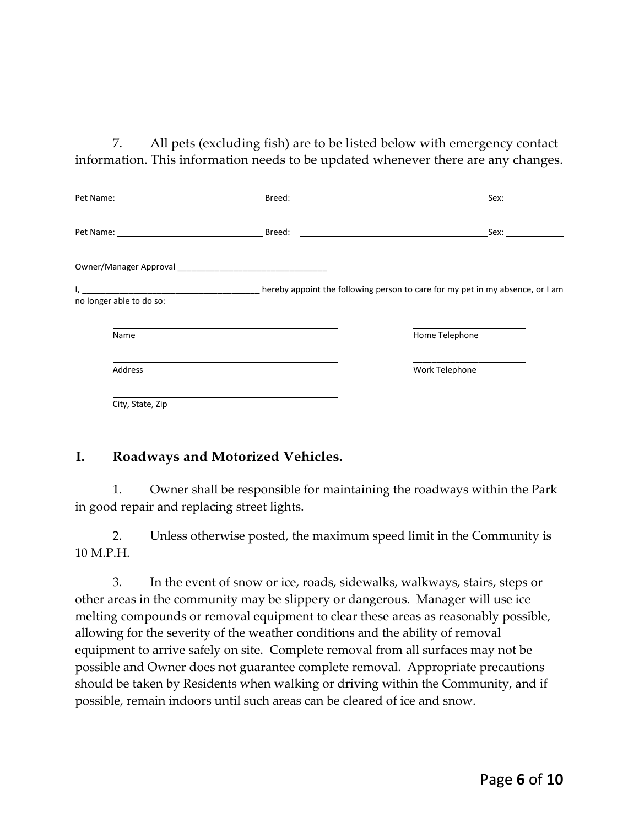7. All pets (excluding fish) are to be listed below with emergency contact information. This information needs to be updated whenever there are any changes.

|                                                                                                                                                                                                                                | Sex: and the second series of the second series of the series of the series of the series of the series of the |
|--------------------------------------------------------------------------------------------------------------------------------------------------------------------------------------------------------------------------------|----------------------------------------------------------------------------------------------------------------|
|                                                                                                                                                                                                                                |                                                                                                                |
| Owner/Manager Approval by the control of the control of the control of the control of the control of the control of the control of the control of the control of the control of the control of the control of the control of t |                                                                                                                |
| no longer able to do so:                                                                                                                                                                                                       |                                                                                                                |
| Name                                                                                                                                                                                                                           | Home Telephone                                                                                                 |
| Address                                                                                                                                                                                                                        | Work Telephone                                                                                                 |
| City, State, Zip                                                                                                                                                                                                               |                                                                                                                |

#### **I. Roadways and Motorized Vehicles.**

1. Owner shall be responsible for maintaining the roadways within the Park in good repair and replacing street lights.

2. Unless otherwise posted, the maximum speed limit in the Community is 10 M.P.H.

3. In the event of snow or ice, roads, sidewalks, walkways, stairs, steps or other areas in the community may be slippery or dangerous. Manager will use ice melting compounds or removal equipment to clear these areas as reasonably possible, allowing for the severity of the weather conditions and the ability of removal equipment to arrive safely on site. Complete removal from all surfaces may not be possible and Owner does not guarantee complete removal. Appropriate precautions should be taken by Residents when walking or driving within the Community, and if possible, remain indoors until such areas can be cleared of ice and snow.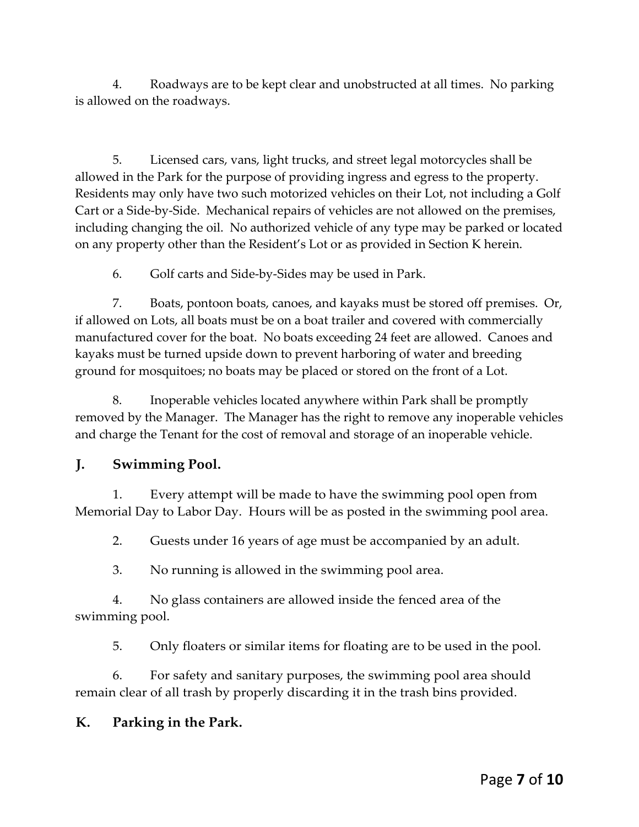4. Roadways are to be kept clear and unobstructed at all times. No parking is allowed on the roadways.

5. Licensed cars, vans, light trucks, and street legal motorcycles shall be allowed in the Park for the purpose of providing ingress and egress to the property. Residents may only have two such motorized vehicles on their Lot, not including a Golf Cart or a Side-by-Side. Mechanical repairs of vehicles are not allowed on the premises, including changing the oil. No authorized vehicle of any type may be parked or located on any property other than the Resident's Lot or as provided in Section K herein.

6. Golf carts and Side-by-Sides may be used in Park.

7. Boats, pontoon boats, canoes, and kayaks must be stored off premises. Or, if allowed on Lots, all boats must be on a boat trailer and covered with commercially manufactured cover for the boat. No boats exceeding 24 feet are allowed. Canoes and kayaks must be turned upside down to prevent harboring of water and breeding ground for mosquitoes; no boats may be placed or stored on the front of a Lot.

8. Inoperable vehicles located anywhere within Park shall be promptly removed by the Manager. The Manager has the right to remove any inoperable vehicles and charge the Tenant for the cost of removal and storage of an inoperable vehicle.

# **J. Swimming Pool.**

1. Every attempt will be made to have the swimming pool open from Memorial Day to Labor Day. Hours will be as posted in the swimming pool area.

2. Guests under 16 years of age must be accompanied by an adult.

3. No running is allowed in the swimming pool area.

4. No glass containers are allowed inside the fenced area of the swimming pool.

5. Only floaters or similar items for floating are to be used in the pool.

6. For safety and sanitary purposes, the swimming pool area should remain clear of all trash by properly discarding it in the trash bins provided.

# **K. Parking in the Park.**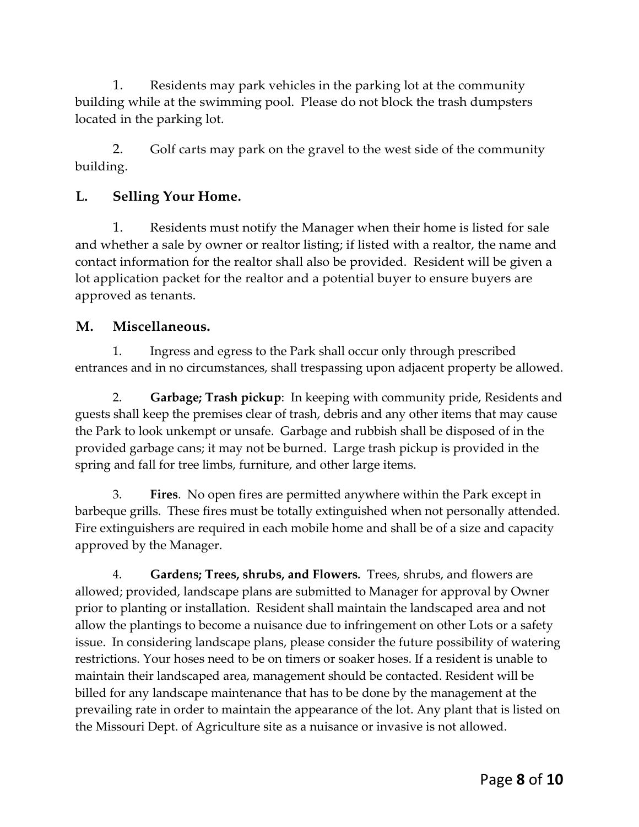1. Residents may park vehicles in the parking lot at the community building while at the swimming pool. Please do not block the trash dumpsters located in the parking lot.

2. Golf carts may park on the gravel to the west side of the community building.

# **L. Selling Your Home.**

1. Residents must notify the Manager when their home is listed for sale and whether a sale by owner or realtor listing; if listed with a realtor, the name and contact information for the realtor shall also be provided. Resident will be given a lot application packet for the realtor and a potential buyer to ensure buyers are approved as tenants.

#### **M. Miscellaneous.**

1. Ingress and egress to the Park shall occur only through prescribed entrances and in no circumstances, shall trespassing upon adjacent property be allowed.

2. **Garbage; Trash pickup**: In keeping with community pride, Residents and guests shall keep the premises clear of trash, debris and any other items that may cause the Park to look unkempt or unsafe. Garbage and rubbish shall be disposed of in the provided garbage cans; it may not be burned. Large trash pickup is provided in the spring and fall for tree limbs, furniture, and other large items.

3. **Fires**. No open fires are permitted anywhere within the Park except in barbeque grills. These fires must be totally extinguished when not personally attended. Fire extinguishers are required in each mobile home and shall be of a size and capacity approved by the Manager.

4. **Gardens; Trees, shrubs, and Flowers***.* Trees, shrubs, and flowers are allowed; provided, landscape plans are submitted to Manager for approval by Owner prior to planting or installation. Resident shall maintain the landscaped area and not allow the plantings to become a nuisance due to infringement on other Lots or a safety issue. In considering landscape plans, please consider the future possibility of watering restrictions. Your hoses need to be on timers or soaker hoses. If a resident is unable to maintain their landscaped area, management should be contacted. Resident will be billed for any landscape maintenance that has to be done by the management at the prevailing rate in order to maintain the appearance of the lot. Any plant that is listed on the Missouri Dept. of Agriculture site as a nuisance or invasive is not allowed.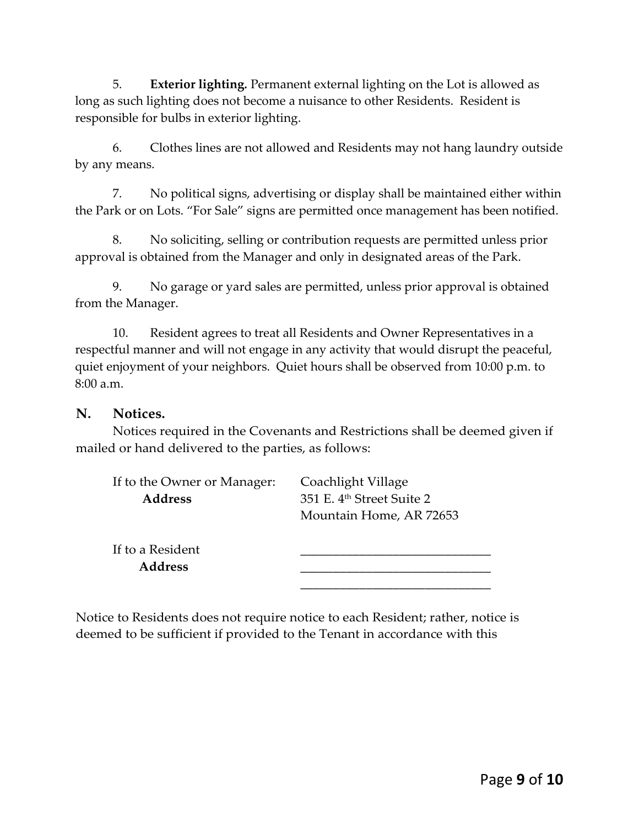5. **Exterior lighting***.* Permanent external lighting on the Lot is allowed as long as such lighting does not become a nuisance to other Residents. Resident is responsible for bulbs in exterior lighting.

6. Clothes lines are not allowed and Residents may not hang laundry outside by any means.

7. No political signs, advertising or display shall be maintained either within the Park or on Lots. "For Sale" signs are permitted once management has been notified.

8. No soliciting, selling or contribution requests are permitted unless prior approval is obtained from the Manager and only in designated areas of the Park.

9. No garage or yard sales are permitted, unless prior approval is obtained from the Manager.

10. Resident agrees to treat all Residents and Owner Representatives in a respectful manner and will not engage in any activity that would disrupt the peaceful, quiet enjoyment of your neighbors. Quiet hours shall be observed from 10:00 p.m. to 8:00 a.m.

#### **N. Notices.**

Notices required in the Covenants and Restrictions shall be deemed given if mailed or hand delivered to the parties, as follows:

| If to the Owner or Manager: | Coachlight Village                    |
|-----------------------------|---------------------------------------|
| <b>Address</b>              | 351 E. 4 <sup>th</sup> Street Suite 2 |
|                             | Mountain Home, AR 72653               |
| If to a Resident            |                                       |
| <b>Address</b>              |                                       |
|                             |                                       |

Notice to Residents does not require notice to each Resident; rather, notice is deemed to be sufficient if provided to the Tenant in accordance with this